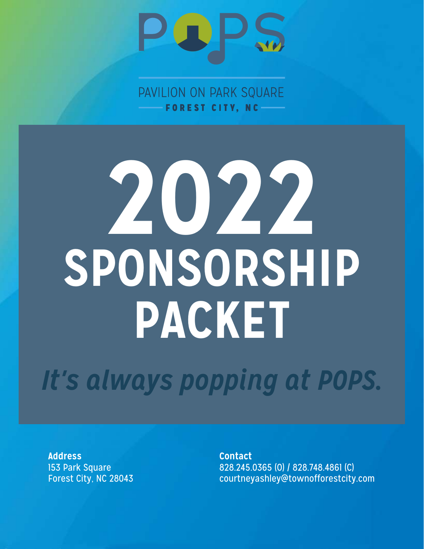

PAVILION ON PARK SQUARE FOREST CITY, NC

# **2022 SPONSORSHIP PACKET**

*It's always popping at POPS.*

**Address Contact**

153 Park Square 828.245.0365 (0) / 828.748.4861 (C)<br>Forest City, NC 28043 courtneyashley@townofforestcity courtneyashley@townofforestcity.com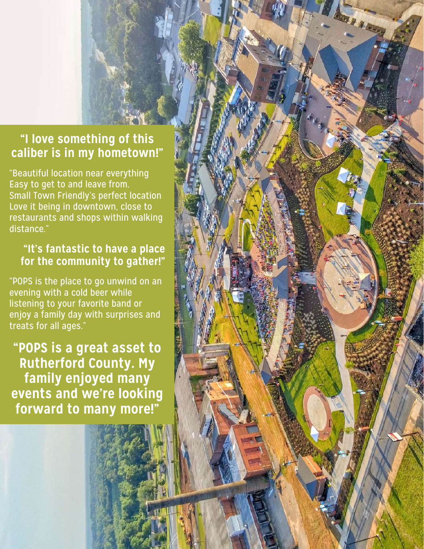#### **"I love something of this caliber is in my hometown!"**

**MARINE** 

"Beautiful location near everything Easy to get to and leave from. Small Town Friendly's perfect location Love it being in downtown, close to restaurants and shops within walking distance."

#### **"It's fantastic to have a place for the community to gather!"**

"POPS is the place to go unwind on an evening with a cold beer while listening to your favorite band or enjoy a family day with surprises and treats for all ages."

**"POPS is a great asset to Rutherford County. My family enjoyed many events and we're looking forward to many more!"**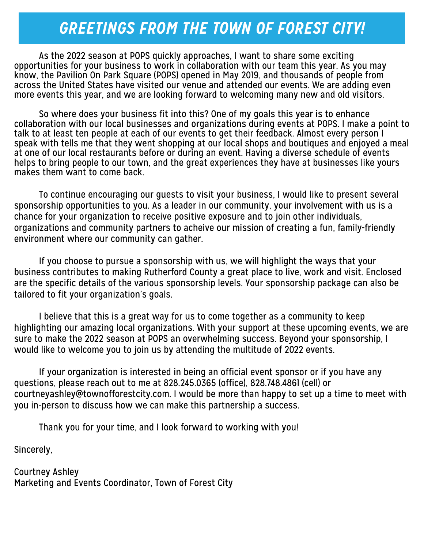# *GREETINGS FROM THE TOWN OF FOREST CITY!*

 As the 2022 season at POPS quickly approaches, I want to share some exciting opportunities for your business to work in collaboration with our team this year. As you may know, the Pavilion On Park Square (POPS) opened in May 2019, and thousands of people from across the United States have visited our venue and attended our events. We are adding even more events this year, and we are looking forward to welcoming many new and old visitors.

 So where does your business fit into this? One of my goals this year is to enhance collaboration with our local businesses and organizations during events at POPS. I make a point to talk to at least ten people at each of our events to get their feedback. Almost every person I speak with tells me that they went shopping at our local shops and boutiques and enjoyed a meal at one of our local restaurants before or during an event. Having a diverse schedule of events helps to bring people to our town, and the great experiences they have at businesses like yours makes them want to come back.

 To continue encouraging our guests to visit your business, I would like to present several sponsorship opportunities to you. As a leader in our community, your involvement with us is a chance for your organization to receive positive exposure and to join other individuals, organizations and community partners to acheive our mission of creating a fun, family-friendly environment where our community can gather.

 If you choose to pursue a sponsorship with us, we will highlight the ways that your business contributes to making Rutherford County a great place to live, work and visit. Enclosed are the specific details of the various sponsorship levels. Your sponsorship package can also be tailored to fit your organization's goals.

 I believe that this is a great way for us to come together as a community to keep highlighting our amazing local organizations. With your support at these upcoming events, we are sure to make the 2022 season at POPS an overwhelming success. Beyond your sponsorship, I would like to welcome you to join us by attending the multitude of 2022 events.

 If your organization is interested in being an official event sponsor or if you have any questions, please reach out to me at 828.245.0365 (office), 828.748.4861 (cell) or courtneyashley@townofforestcity.com. I would be more than happy to set up a time to meet with you in-person to discuss how we can make this partnership a success.

Thank you for your time, and I look forward to working with you!

Sincerely,

Courtney Ashley Marketing and Events Coordinator, Town of Forest City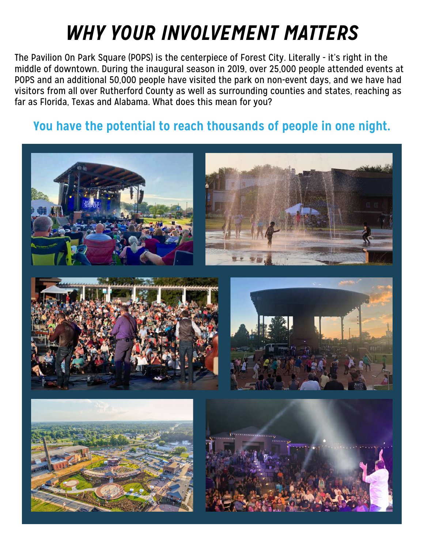# *WHY YOUR INVOLVEMENT MATTERS*

The Pavilion On Park Square (POPS) is the centerpiece of Forest City. Literally - it's right in the middle of downtown. During the inaugural season in 2019, over 25,000 people attended events at POPS and an additional 50,000 people have visited the park on non-event days, and we have had visitors from all over Rutherford County as well as surrounding counties and states, reaching as far as Florida, Texas and Alabama. What does this mean for you?

#### **You have the potential to reach thousands of people in one night.**

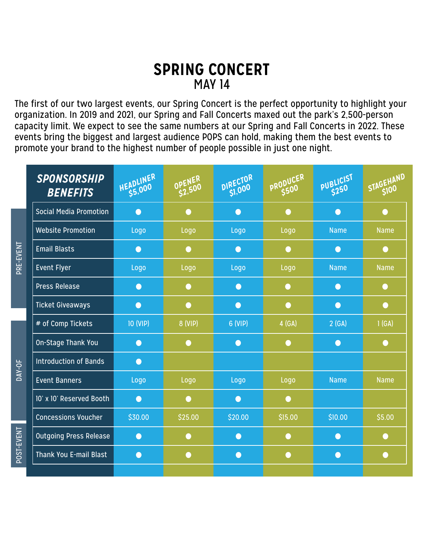#### **SPRING CONCERT** MAY 14

The first of our two largest events, our Spring Concert is the perfect opportunity to highlight your organization. In 2019 and 2021, our Spring and Fall Concerts maxed out the park's 2,500-person capacity limit. We expect to see the same numbers at our Spring and Fall Concerts in 2022. These events bring the biggest and largest audience POPS can hold, making them the best events to promote your brand to the highest number of people possible in just one night.

|            | <b>SPONSORSHIP</b><br><b>BENEFITS</b> | HEADLINER | OPENER<br>S2,500 | DIRECTOR<br>SI,000 | PRODUCER  | PUBLICIST   | STAGEHAND   |
|------------|---------------------------------------|-----------|------------------|--------------------|-----------|-------------|-------------|
| PRE-EVENT  | <b>Social Media Promotion</b>         | $\bullet$ | $\bullet$        | $\bullet$          | $\bullet$ | $\bullet$   | $\bullet$   |
|            | <b>Website Promotion</b>              | Logo      | Logo             | Logo               | Logo      | <b>Name</b> | <b>Name</b> |
|            | <b>Email Blasts</b>                   | $\bullet$ | $\bullet$        | $\bullet$          | $\bullet$ | $\bullet$   | $\bullet$   |
|            | <b>Event Flyer</b>                    | Logo      | Logo             | Logo               | Logo      | <b>Name</b> | <b>Name</b> |
|            | <b>Press Release</b>                  | $\bullet$ | $\bullet$        | $\bullet$          | $\bullet$ | $\bullet$   | $\bullet$   |
|            | <b>Ticket Giveaways</b>               | $\bullet$ | $\bullet$        | $\bullet$          | $\bullet$ | $\bullet$   | $\bullet$   |
| DAY-OF     | # of Comp Tickets                     | 10 (VIP)  | 8 (VIP)          | 6 (VIP)            | 4 (GA)    | 2(GA)       | 1(GA)       |
|            | On-Stage Thank You                    | $\bullet$ | $\bullet$        | $\bullet$          | $\bullet$ | $\bullet$   | $\bullet$   |
|            | <b>Introduction of Bands</b>          | $\bullet$ |                  |                    |           |             |             |
|            | <b>Event Banners</b>                  | Logo      | Logo             | Logo               | Logo      | <b>Name</b> | <b>Name</b> |
|            | 10' x 10' Reserved Booth              | $\bullet$ | $\bullet$        | $\bullet$          | $\bullet$ |             |             |
|            | <b>Concessions Voucher</b>            | \$30.00   | \$25.00          | \$20.00            | \$15.00   | \$10.00     | \$5.00      |
| POST-EVENT | <b>Outgoing Press Release</b>         | $\bullet$ | $\bullet$        | $\bullet$          | $\bullet$ | $\bullet$   | $\bullet$   |
|            | Thank You E-mail Blast                | $\bullet$ | $\bullet$        | $\bullet$          | $\bullet$ | $\bullet$   | $\bullet$   |
|            |                                       |           |                  |                    |           |             |             |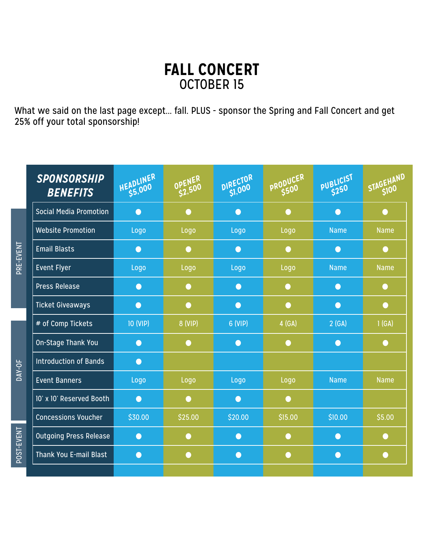### **FALL CONCERT** OCTOBER 15

What we said on the last page except... fall. PLUS - sponsor the Spring and Fall Concert and get 25% off your total sponsorship!

|            | <b>SPONSORSHIP</b><br><b>BENEFITS</b> | HEADLINER | OPENER<br>S2,500 | DIRECTOR<br>SI,000 | PRODUCER<br>\$500 | PUBLICIST   | STAGEHAND   |
|------------|---------------------------------------|-----------|------------------|--------------------|-------------------|-------------|-------------|
|            | <b>Social Media Promotion</b>         | $\bullet$ | $\bullet$        | $\bullet$          | $\bullet$         | $\bullet$   | $\bullet$   |
| PRE-EVENT  | <b>Website Promotion</b>              | Logo      | Logo             | Logo               | Logo              | <b>Name</b> | <b>Name</b> |
|            | <b>Email Blasts</b>                   | $\bullet$ | $\bullet$        | $\bullet$          | $\bullet$         | $\bullet$   | $\bullet$   |
|            | <b>Event Flyer</b>                    | Logo      | Logo             | Logo               | Logo              | <b>Name</b> | <b>Name</b> |
|            | <b>Press Release</b>                  | $\bullet$ | $\bullet$        | $\bullet$          | $\bullet$         | $\bullet$   | $\bullet$   |
|            | <b>Ticket Giveaways</b>               | $\bullet$ | $\bullet$        | $\bullet$          | $\bullet$         | $\bullet$   | $\bullet$   |
|            | # of Comp Tickets                     | 10 (VIP)  | 8 (VIP)          | 6 (VIP)            | 4 (GA)            | 2(GA)       | 1(GA)       |
|            | On-Stage Thank You                    | $\bullet$ | ∩                | $\bullet$          | $\bullet$         | $\bullet$   | $\bullet$   |
|            | <b>Introduction of Bands</b>          | $\bullet$ |                  |                    |                   |             |             |
| DAY-OF     | <b>Event Banners</b>                  | Logo      | Logo             | Logo               | Logo              | <b>Name</b> | <b>Name</b> |
|            | 10' x 10' Reserved Booth              | $\bullet$ | $\bullet$        | $\bullet$          | $\bullet$         |             |             |
|            | <b>Concessions Voucher</b>            | \$30.00   | \$25.00          | \$20.00            | \$15.00           | \$10.00     | \$5.00      |
|            | <b>Outgoing Press Release</b>         | $\bullet$ | $\bullet$        | $\bullet$          | $\bullet$         | $\bullet$   | $\bigcirc$  |
| POST-EVENT | <b>Thank You E-mail Blast</b>         | $\bullet$ | $\bullet$        | $\bullet$          | $\bullet$         | $\bullet$   | $\bullet$   |
|            |                                       |           |                  |                    |                   |             |             |

POST-EVENT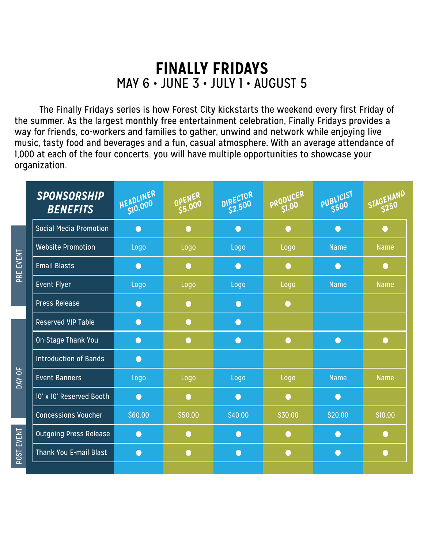## **FINALLY FRIDAYS** MAY 6 • JUNE 3 • JULY 1 • AUGUST 5

The Finally Fridays series is how Forest City kickstarts the weekend every first Friday of the summer. As the largest monthly free entertainment celebration, Finally Fridays provides a way for friends, co-workers and families to gather, unwind and network while enjoying live music, tasty food and beverages and a fun, casual atmosphere. With an average attendance of 1,000 at each of the four concerts, you will have multiple opportunities to showcase your organization.

|            | <b>SPONSORSHIP</b><br><b>BENEFITS</b> | HEADLINER | OPENER    | DIRECTOR<br>\$2,500 | PRODUCER<br>SI,00 | PUBLICIST   | STAGEHAND   |
|------------|---------------------------------------|-----------|-----------|---------------------|-------------------|-------------|-------------|
| PRE-EVENT  | <b>Social Media Promotion</b>         | $\bullet$ | $\bullet$ | $\bullet$           | $\bullet$         | $\bigcap$   | $\bullet$   |
|            | <b>Website Promotion</b>              | Logo      | Logo      | Logo                | Logo              | <b>Name</b> | <b>Name</b> |
|            | <b>Email Blasts</b>                   | $\bullet$ | $\bullet$ | $\bullet$           | ∩                 | ∩           | $\bigcirc$  |
|            | <b>Event Flyer</b>                    | Logo      | Logo      | Logo                | Logo              | <b>Name</b> | <b>Name</b> |
|            | <b>Press Release</b>                  | $\bullet$ | $\bullet$ | $\bullet$           | $\bullet$         |             |             |
|            | <b>Reserved VIP Table</b>             | $\bullet$ | $\bullet$ | $\bullet$           |                   |             |             |
|            | On-Stage Thank You                    | $\bullet$ | $\bullet$ | $\bullet$           | $\bullet$         | $\bullet$   | $\bullet$   |
|            | <b>Introduction of Bands</b>          | $\bullet$ |           |                     |                   |             |             |
| DAY-OF     | <b>Event Banners</b>                  | Logo      | Logo      | Logo                | Logo              | <b>Name</b> | <b>Name</b> |
|            | 10' x 10' Reserved Booth              | $\bullet$ | $\bullet$ | $\bullet$           | $\bullet$         | $\bullet$   |             |
|            | <b>Concessions Voucher</b>            | \$60.00   | \$50.00   | \$40.00             | \$30.00           | \$20.00     | \$10.00     |
|            | <b>Outgoing Press Release</b>         | $\bullet$ | ●         | $\bullet$           | €                 | $\bullet$   | O           |
| POST-EVENT | <b>Thank You E-mail Blast</b>         | $\bullet$ | $\bullet$ | $\bullet$           | $\bullet$         | $\bullet$   | $\bullet$   |
|            |                                       |           |           |                     |                   |             |             |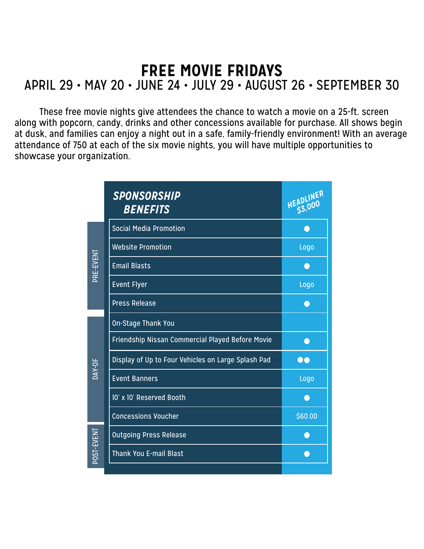# **FREE MOVIE FRIDAYS** APRIL 29 • MAY 20 • JUNE 24 • JULY 29 • AUGUST 26 • SEPTEMBER 30

These free movie nights give attendees the chance to watch a movie on a 25-ft. screen along with popcorn, candy, drinks and other concessions available for purchase. All shows begin at dusk, and families can enjoy a night out in a safe, family-friendly environment! With an average attendance of 750 at each of the six movie nights, you will have multiple opportunities to showcase your organization.

|                     | <b>SPONSORSHIP</b><br><b>BENEFITS</b>              | HEADLINER |
|---------------------|----------------------------------------------------|-----------|
|                     | <b>Social Media Promotion</b>                      |           |
|                     | <b>Website Promotion</b>                           | Logo      |
| PRE-EVENT           | <b>Email Blasts</b>                                |           |
|                     | <b>Event Flyer</b>                                 | Logo      |
|                     | <b>Press Release</b>                               |           |
|                     | On-Stage Thank You                                 |           |
|                     | Friendship Nissan Commercial Played Before Movie   |           |
| $\overline{DAY-OF}$ | Display of Up to Four Vehicles on Large Splash Pad |           |
|                     | <b>Event Banners</b>                               | Logo      |
|                     | 10' x 10' Reserved Booth                           |           |
|                     | <b>Concessions Voucher</b>                         | \$60.00   |
|                     | <b>Outgoing Press Release</b>                      |           |
| POST-EVENT          | Thank You E-mail Blast                             |           |
|                     |                                                    |           |